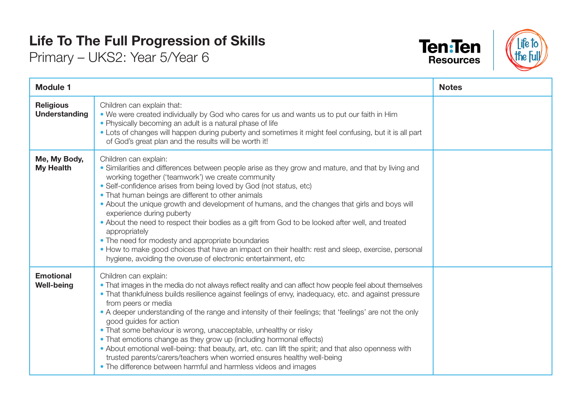## **Life To The Full Progression of Skills**

Primary – UKS2: Year 5/Year 6





| <b>Module 1</b>                          |                                                                                                                                                                                                                                                                                                                                                                                                                                                                                                                                                                                                                                                                                                                                                                                                          | <b>Notes</b> |
|------------------------------------------|----------------------------------------------------------------------------------------------------------------------------------------------------------------------------------------------------------------------------------------------------------------------------------------------------------------------------------------------------------------------------------------------------------------------------------------------------------------------------------------------------------------------------------------------------------------------------------------------------------------------------------------------------------------------------------------------------------------------------------------------------------------------------------------------------------|--------------|
| <b>Religious</b><br><b>Understanding</b> | Children can explain that:<br>. We were created individually by God who cares for us and wants us to put our faith in Him<br>• Physically becoming an adult is a natural phase of life<br>• Lots of changes will happen during puberty and sometimes it might feel confusing, but it is all part<br>of God's great plan and the results will be worth it!                                                                                                                                                                                                                                                                                                                                                                                                                                                |              |
| Me, My Body,<br><b>My Health</b>         | Children can explain:<br>• Similarities and differences between people arise as they grow and mature, and that by living and<br>working together ('teamwork') we create community<br>• Self-confidence arises from being loved by God (not status, etc)<br>• That human beings are different to other animals<br>• About the unique growth and development of humans, and the changes that girls and boys will<br>experience during puberty<br>. About the need to respect their bodies as a gift from God to be looked after well, and treated<br>appropriately<br>• The need for modesty and appropriate boundaries<br>• How to make good choices that have an impact on their health: rest and sleep, exercise, personal<br>hygiene, avoiding the overuse of electronic entertainment, etc            |              |
| <b>Emotional</b><br><b>Well-being</b>    | Children can explain:<br>• That images in the media do not always reflect reality and can affect how people feel about themselves<br>• That thankfulness builds resilience against feelings of envy, inadequacy, etc. and against pressure<br>from peers or media<br>• A deeper understanding of the range and intensity of their feelings; that 'feelings' are not the only<br>good guides for action<br>. That some behaviour is wrong, unacceptable, unhealthy or risky<br>• That emotions change as they grow up (including hormonal effects)<br>• About emotional well-being: that beauty, art, etc. can lift the spirit; and that also openness with<br>trusted parents/carers/teachers when worried ensures healthy well-being<br>• The difference between harmful and harmless videos and images |              |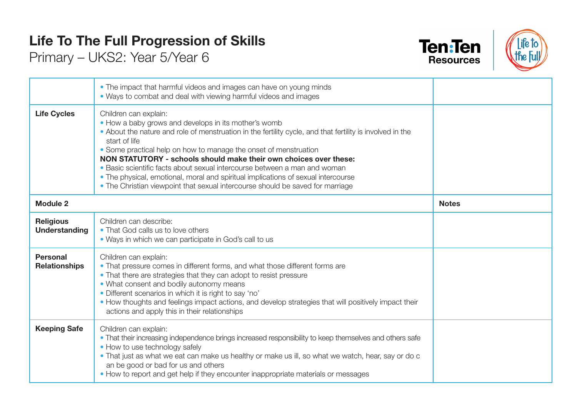## **Life To The Full Progression of Skills**

Primary – UKS2: Year 5/Year 6





|                                         | • The impact that harmful videos and images can have on young minds<br>• Ways to combat and deal with viewing harmful videos and images                                                                                                                                                                                                                                                                                                                                                                                                                                                                  |              |
|-----------------------------------------|----------------------------------------------------------------------------------------------------------------------------------------------------------------------------------------------------------------------------------------------------------------------------------------------------------------------------------------------------------------------------------------------------------------------------------------------------------------------------------------------------------------------------------------------------------------------------------------------------------|--------------|
| <b>Life Cycles</b>                      | Children can explain:<br>• How a baby grows and develops in its mother's womb<br>• About the nature and role of menstruation in the fertility cycle, and that fertility is involved in the<br>start of life<br>• Some practical help on how to manage the onset of menstruation<br>NON STATUTORY - schools should make their own choices over these:<br>• Basic scientific facts about sexual intercourse between a man and woman<br>• The physical, emotional, moral and spiritual implications of sexual intercourse<br>• The Christian viewpoint that sexual intercourse should be saved for marriage |              |
| <b>Module 2</b>                         |                                                                                                                                                                                                                                                                                                                                                                                                                                                                                                                                                                                                          | <b>Notes</b> |
| <b>Religious</b><br>Understanding       | Children can describe:<br>• That God calls us to love others<br>• Ways in which we can participate in God's call to us                                                                                                                                                                                                                                                                                                                                                                                                                                                                                   |              |
| <b>Personal</b><br><b>Relationships</b> | Children can explain:<br>• That pressure comes in different forms, and what those different forms are<br>• That there are strategies that they can adopt to resist pressure<br>• What consent and bodily autonomy means<br>· Different scenarios in which it is right to say 'no'<br>. How thoughts and feelings impact actions, and develop strategies that will positively impact their<br>actions and apply this in their relationships                                                                                                                                                               |              |
| <b>Keeping Safe</b>                     | Children can explain:<br>• That their increasing independence brings increased responsibility to keep themselves and others safe<br>• How to use technology safely<br>. That just as what we eat can make us healthy or make us ill, so what we watch, hear, say or do c<br>an be good or bad for us and others<br>• How to report and get help if they encounter inappropriate materials or messages                                                                                                                                                                                                    |              |